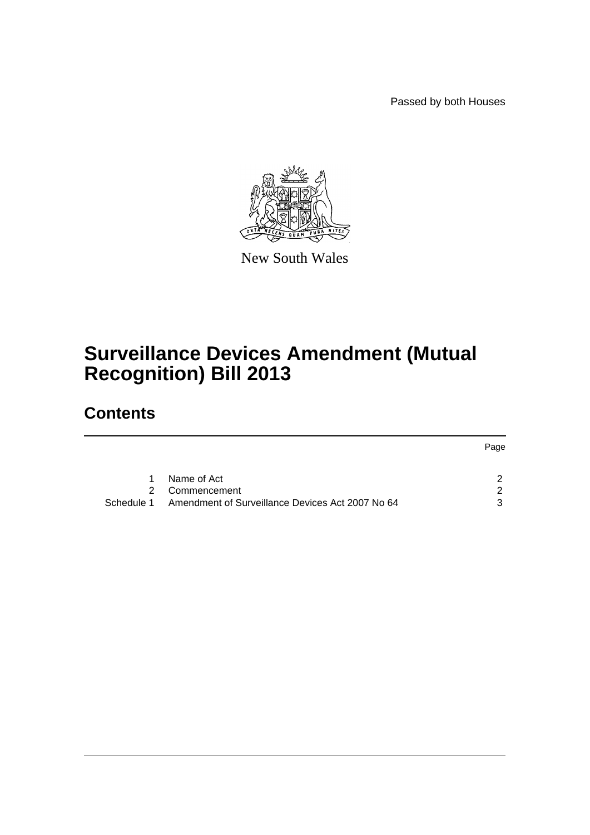Passed by both Houses



New South Wales

# **Surveillance Devices Amendment (Mutual Recognition) Bill 2013**

# **Contents**

|   |                                                             | Page          |
|---|-------------------------------------------------------------|---------------|
|   |                                                             |               |
| 1 | Name of Act                                                 |               |
|   | 2 Commencement                                              | $\mathcal{D}$ |
|   | Schedule 1 Amendment of Surveillance Devices Act 2007 No 64 | ર             |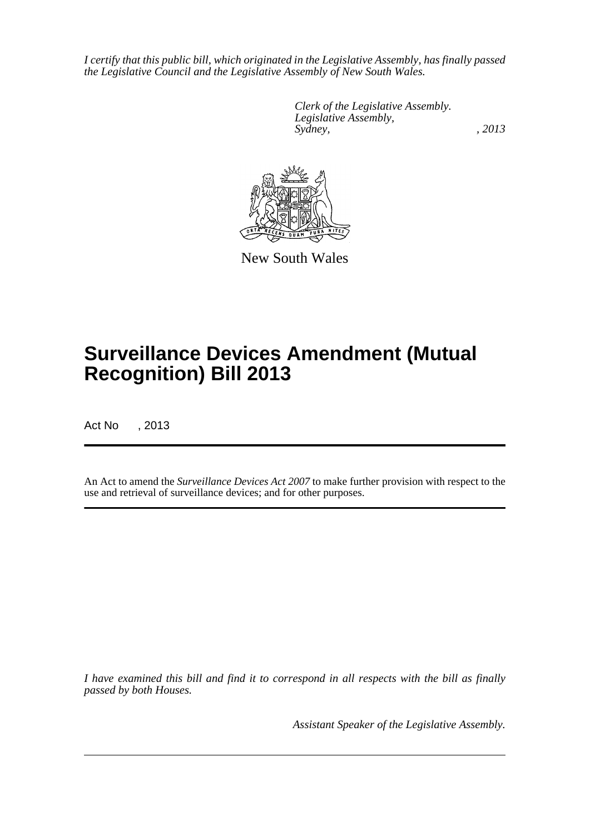*I certify that this public bill, which originated in the Legislative Assembly, has finally passed the Legislative Council and the Legislative Assembly of New South Wales.*

> *Clerk of the Legislative Assembly. Legislative Assembly, Sydney, , 2013*



New South Wales

# **Surveillance Devices Amendment (Mutual Recognition) Bill 2013**

Act No , 2013

An Act to amend the *Surveillance Devices Act 2007* to make further provision with respect to the use and retrieval of surveillance devices; and for other purposes.

*I have examined this bill and find it to correspond in all respects with the bill as finally passed by both Houses.*

*Assistant Speaker of the Legislative Assembly.*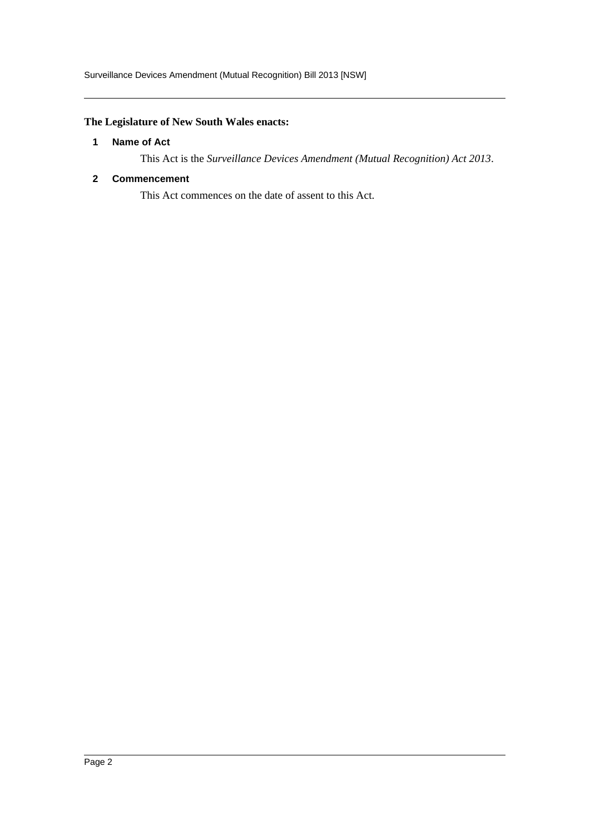# <span id="page-2-0"></span>**The Legislature of New South Wales enacts:**

#### **1 Name of Act**

This Act is the *Surveillance Devices Amendment (Mutual Recognition) Act 2013*.

### <span id="page-2-1"></span>**2 Commencement**

This Act commences on the date of assent to this Act.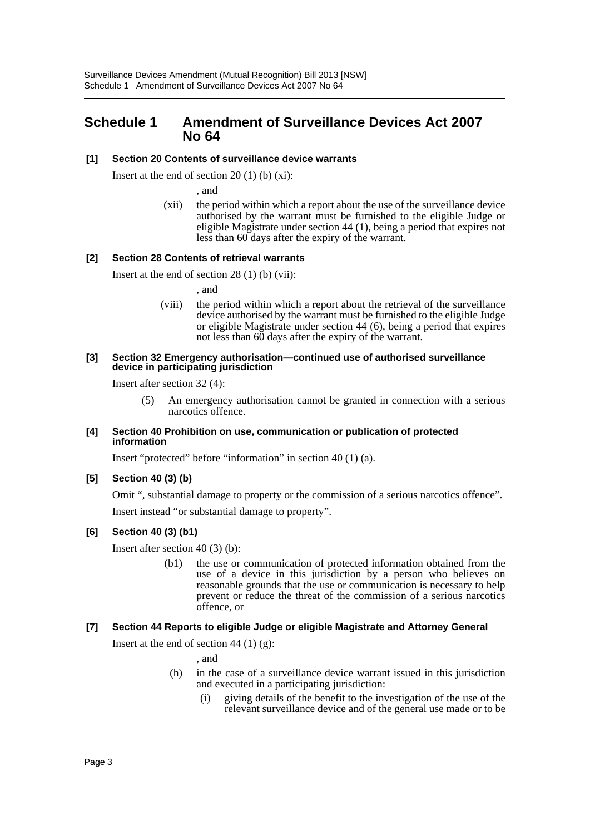# <span id="page-3-0"></span>**Schedule 1 Amendment of Surveillance Devices Act 2007 No 64**

#### **[1] Section 20 Contents of surveillance device warrants**

Insert at the end of section 20  $(1)$  (b)  $(xi)$ :

, and

(xii) the period within which a report about the use of the surveillance device authorised by the warrant must be furnished to the eligible Judge or eligible Magistrate under section 44 (1), being a period that expires not less than 60 days after the expiry of the warrant.

#### **[2] Section 28 Contents of retrieval warrants**

Insert at the end of section 28 (1) (b) (vii):

, and

(viii) the period within which a report about the retrieval of the surveillance device authorised by the warrant must be furnished to the eligible Judge or eligible Magistrate under section 44 (6), being a period that expires not less than 60 days after the expiry of the warrant.

#### **[3] Section 32 Emergency authorisation—continued use of authorised surveillance device in participating jurisdiction**

Insert after section 32 (4):

(5) An emergency authorisation cannot be granted in connection with a serious narcotics offence.

#### **[4] Section 40 Prohibition on use, communication or publication of protected information**

Insert "protected" before "information" in section 40 (1) (a).

#### **[5] Section 40 (3) (b)**

Omit ", substantial damage to property or the commission of a serious narcotics offence".

Insert instead "or substantial damage to property".

#### **[6] Section 40 (3) (b1)**

Insert after section 40 (3) (b):

(b1) the use or communication of protected information obtained from the use of a device in this jurisdiction by a person who believes on reasonable grounds that the use or communication is necessary to help prevent or reduce the threat of the commission of a serious narcotics offence, or

#### **[7] Section 44 Reports to eligible Judge or eligible Magistrate and Attorney General**

Insert at the end of section 44  $(1)$   $(g)$ :

, and

- (h) in the case of a surveillance device warrant issued in this jurisdiction and executed in a participating jurisdiction:
	- (i) giving details of the benefit to the investigation of the use of the relevant surveillance device and of the general use made or to be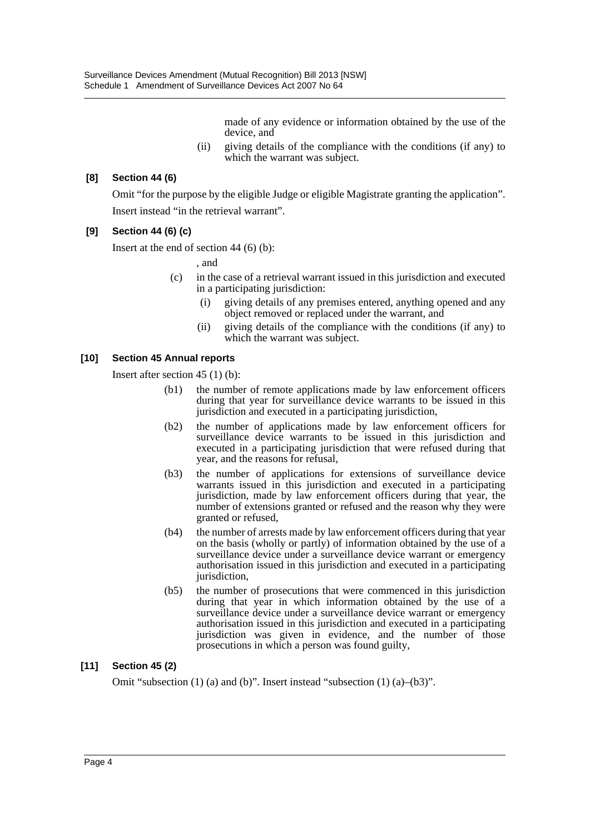made of any evidence or information obtained by the use of the device, and

(ii) giving details of the compliance with the conditions (if any) to which the warrant was subject.

### **[8] Section 44 (6)**

Omit "for the purpose by the eligible Judge or eligible Magistrate granting the application". Insert instead "in the retrieval warrant".

#### **[9] Section 44 (6) (c)**

Insert at the end of section 44 (6) (b):

, and

- (c) in the case of a retrieval warrant issued in this jurisdiction and executed in a participating jurisdiction:
	- (i) giving details of any premises entered, anything opened and any object removed or replaced under the warrant, and
	- (ii) giving details of the compliance with the conditions (if any) to which the warrant was subject.

#### **[10] Section 45 Annual reports**

Insert after section 45 (1) (b):

- (b1) the number of remote applications made by law enforcement officers during that year for surveillance device warrants to be issued in this jurisdiction and executed in a participating jurisdiction,
- (b2) the number of applications made by law enforcement officers for surveillance device warrants to be issued in this jurisdiction and executed in a participating jurisdiction that were refused during that year, and the reasons for refusal,
- (b3) the number of applications for extensions of surveillance device warrants issued in this jurisdiction and executed in a participating jurisdiction, made by law enforcement officers during that year, the number of extensions granted or refused and the reason why they were granted or refused,
- (b4) the number of arrests made by law enforcement officers during that year on the basis (wholly or partly) of information obtained by the use of a surveillance device under a surveillance device warrant or emergency authorisation issued in this jurisdiction and executed in a participating jurisdiction,
- (b5) the number of prosecutions that were commenced in this jurisdiction during that year in which information obtained by the use of a surveillance device under a surveillance device warrant or emergency authorisation issued in this jurisdiction and executed in a participating jurisdiction was given in evidence, and the number of those prosecutions in which a person was found guilty,

## **[11] Section 45 (2)**

Omit "subsection (1) (a) and (b)". Insert instead "subsection (1) (a)–(b3)".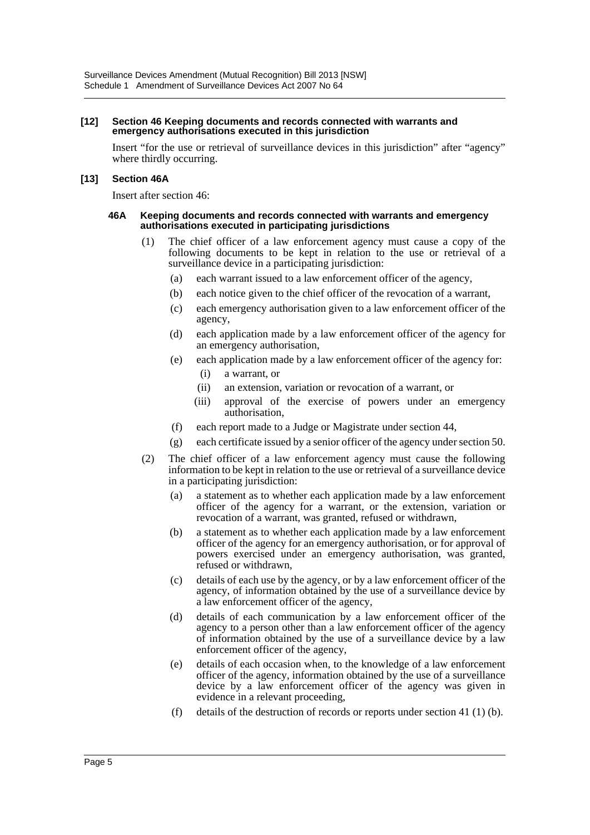#### **[12] Section 46 Keeping documents and records connected with warrants and emergency authorisations executed in this jurisdiction**

Insert "for the use or retrieval of surveillance devices in this jurisdiction" after "agency" where thirdly occurring.

#### **[13] Section 46A**

Insert after section 46:

#### **46A Keeping documents and records connected with warrants and emergency authorisations executed in participating jurisdictions**

- (1) The chief officer of a law enforcement agency must cause a copy of the following documents to be kept in relation to the use or retrieval of a surveillance device in a participating jurisdiction:
	- (a) each warrant issued to a law enforcement officer of the agency,
	- (b) each notice given to the chief officer of the revocation of a warrant,
	- (c) each emergency authorisation given to a law enforcement officer of the agency,
	- (d) each application made by a law enforcement officer of the agency for an emergency authorisation,
	- (e) each application made by a law enforcement officer of the agency for:
		- (i) a warrant, or
		- (ii) an extension, variation or revocation of a warrant, or
		- (iii) approval of the exercise of powers under an emergency authorisation,
	- (f) each report made to a Judge or Magistrate under section 44,
	- (g) each certificate issued by a senior officer of the agency under section 50.
- (2) The chief officer of a law enforcement agency must cause the following information to be kept in relation to the use or retrieval of a surveillance device in a participating jurisdiction:
	- (a) a statement as to whether each application made by a law enforcement officer of the agency for a warrant, or the extension, variation or revocation of a warrant, was granted, refused or withdrawn,
	- (b) a statement as to whether each application made by a law enforcement officer of the agency for an emergency authorisation, or for approval of powers exercised under an emergency authorisation, was granted, refused or withdrawn,
	- (c) details of each use by the agency, or by a law enforcement officer of the agency, of information obtained by the use of a surveillance device by a law enforcement officer of the agency,
	- (d) details of each communication by a law enforcement officer of the agency to a person other than a law enforcement officer of the agency of information obtained by the use of a surveillance device by a law enforcement officer of the agency,
	- (e) details of each occasion when, to the knowledge of a law enforcement officer of the agency, information obtained by the use of a surveillance device by a law enforcement officer of the agency was given in evidence in a relevant proceeding,
	- (f) details of the destruction of records or reports under section 41 (1) (b).